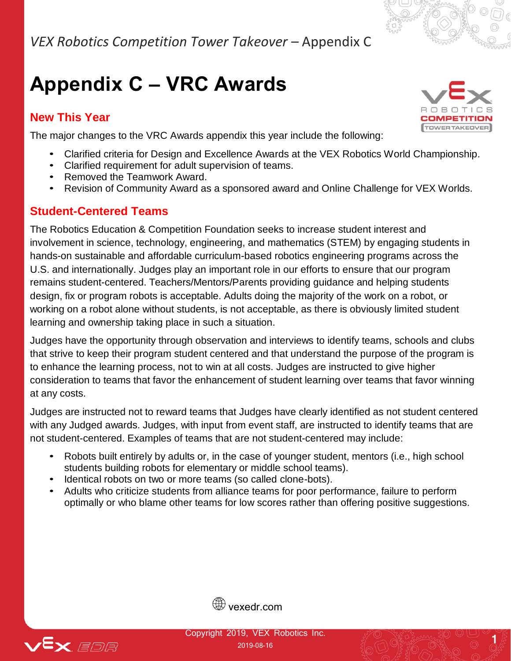# **Appendix C – VRC Awards**

#### **New This Year**



The major changes to the VRC Awards appendix this year include the following:

- Clarified criteria for Design and Excellence Awards at the VEX Robotics World Championship.
- Clarified requirement for adult supervision of teams.
- Removed the Teamwork Award.
- Revision of Community Award as a sponsored award and Online Challenge for VEX Worlds.

#### **Student-Centered Teams**

The Robotics Education & Competition Foundation seeks to increase student interest and involvement in science, technology, engineering, and mathematics (STEM) by engaging students in hands-on sustainable and affordable curriculum-based robotics engineering programs across the U.S. and internationally. Judges play an important role in our efforts to ensure that our program remains student-centered. Teachers/Mentors/Parents providing guidance and helping students design, fix or program robots is acceptable. Adults doing the majority of the work on a robot, or working on a robot alone without students, is not acceptable, as there is obviously limited student learning and ownership taking place in such a situation.

Judges have the opportunity through observation and interviews to identify teams, schools and clubs that strive to keep their program student centered and that understand the purpose of the program is to enhance the learning process, not to win at all costs. Judges are instructed to give higher consideration to teams that favor the enhancement of student learning over teams that favor winning at any costs.

Judges are instructed not to reward teams that Judges have clearly identified as not student centered with any Judged awards. Judges, with input from event staff, are instructed to identify teams that are not student-centered. Examples of teams that are not student-centered may include:

- Robots built entirely by adults or, in the case of younger student, mentors (i.e., high school students building robots for elementary or middle school teams).
- Identical robots on two or more teams (so called clone-bots).
- Adults who criticize students from alliance teams for poor performance, failure to perform optimally or who blame other teams for low scores rather than offering positive suggestions.





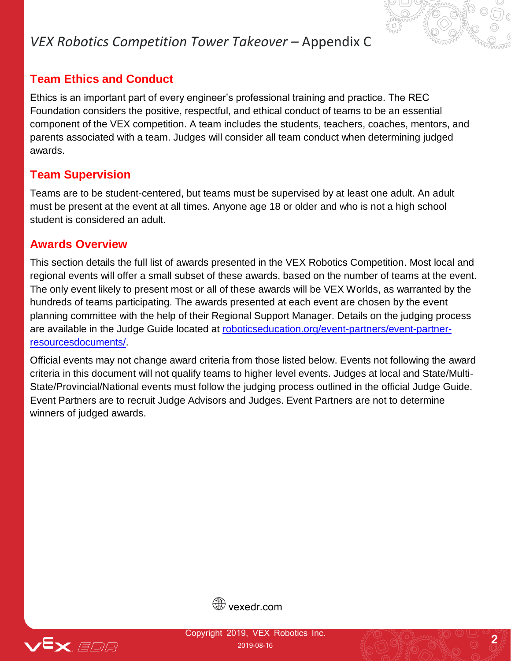#### **Team Ethics and Conduct**

Ethics is an important part of every engineer's professional training and practice. The REC Foundation considers the positive, respectful, and ethical conduct of teams to be an essential component of the VEX competition. A team includes the students, teachers, coaches, mentors, and parents associated with a team. Judges will consider all team conduct when determining judged awards.

#### **Team Supervision**

Teams are to be student-centered, but teams must be supervised by at least one adult. An adult must be present at the event at all times. Anyone age 18 or older and who is not a high school student is considered an adult.

#### **Awards Overview**

This section details the full list of awards presented in the VEX Robotics Competition. Most local and regional events will offer a small subset of these awards, based on the number of teams at the event. The only event likely to present most or all of these awards will be VEX Worlds, as warranted by the hundreds of teams participating. The awards presented at each event are chosen by the event planning committee with the help of their Regional Support Manager. Details on the judging process are available in the Judge Guide located at [roboticseducation.org/event-partners/event-partner](http://www.roboticseducation.org/event-partners/event-partner-resources-documents/)[resourcesdocuments/.](http://www.roboticseducation.org/event-partners/event-partner-resources-documents/)

Official events may not change award criteria from those listed below. Events not following the award criteria in this document will not qualify teams to higher level events. Judges at local and State/Multi-State/Provincial/National events must follow the judging process outlined in the official Judge Guide. Event Partners are to recruit Judge Advisors and Judges. Event Partners are not to determine winners of judged awards.



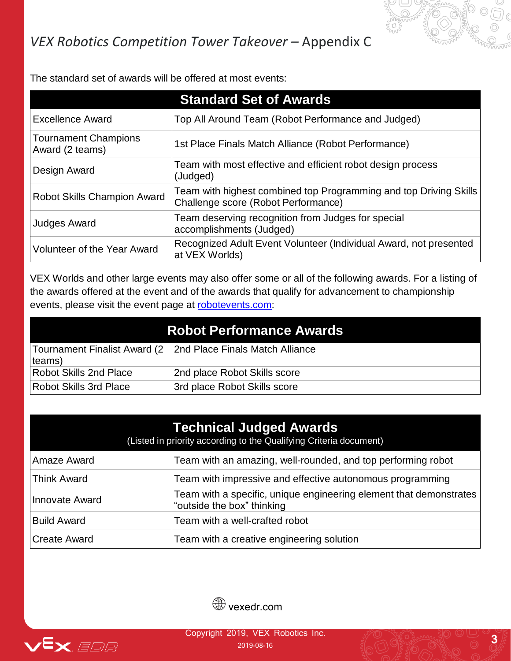

The standard set of awards will be offered at most events:

|                                                | <b>Standard Set of Awards</b>                                                                            |
|------------------------------------------------|----------------------------------------------------------------------------------------------------------|
| <b>Excellence Award</b>                        | Top All Around Team (Robot Performance and Judged)                                                       |
| <b>Tournament Champions</b><br>Award (2 teams) | 1st Place Finals Match Alliance (Robot Performance)                                                      |
| Design Award                                   | Team with most effective and efficient robot design process<br>(Judged)                                  |
| Robot Skills Champion Award                    | Team with highest combined top Programming and top Driving Skills<br>Challenge score (Robot Performance) |
| <b>Judges Award</b>                            | Team deserving recognition from Judges for special<br>accomplishments (Judged)                           |
| <b>Volunteer of the Year Award</b>             | Recognized Adult Event Volunteer (Individual Award, not presented<br>at VEX Worlds)                      |

VEX Worlds and other large events may also offer some or all of the following awards. For a listing of the awards offered at the event and of the awards that qualify for advancement to championship events, please visit the event page at [robotevents.com:](http://www.robotevents.com/)

| <b>Robot Performance Awards</b> |                                                                |
|---------------------------------|----------------------------------------------------------------|
| $ $ teams $ $                   | Tournament Finalist Award (2   2nd Place Finals Match Alliance |
| <b>Robot Skills 2nd Place</b>   | 2nd place Robot Skills score                                   |
| <b>Robot Skills 3rd Place</b>   | 3rd place Robot Skills score                                   |

| <b>Technical Judged Awards</b><br>(Listed in priority according to the Qualifying Criteria document) |                                                                                                  |  |
|------------------------------------------------------------------------------------------------------|--------------------------------------------------------------------------------------------------|--|
| Amaze Award                                                                                          | Team with an amazing, well-rounded, and top performing robot                                     |  |
| <b>Think Award</b>                                                                                   | Team with impressive and effective autonomous programming                                        |  |
| Innovate Award                                                                                       | Team with a specific, unique engineering element that demonstrates<br>"outside the box" thinking |  |
| <b>Build Award</b>                                                                                   | Team with a well-crafted robot                                                                   |  |
| Create Award                                                                                         | Team with a creative engineering solution                                                        |  |



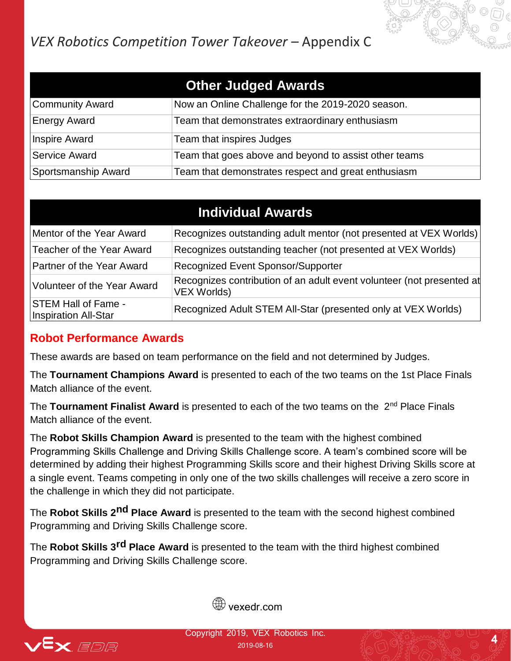| <b>Other Judged Awards</b> |                                                       |  |
|----------------------------|-------------------------------------------------------|--|
| Community Award            | Now an Online Challenge for the 2019-2020 season.     |  |
| <b>Energy Award</b>        | Team that demonstrates extraordinary enthusiasm       |  |
| Inspire Award              | Team that inspires Judges                             |  |
| Service Award              | Team that goes above and beyond to assist other teams |  |
| Sportsmanship Award        | Team that demonstrates respect and great enthusiasm   |  |

| <b>Individual Awards</b>                           |                                                                                             |  |
|----------------------------------------------------|---------------------------------------------------------------------------------------------|--|
| Mentor of the Year Award                           | Recognizes outstanding adult mentor (not presented at VEX Worlds)                           |  |
| Teacher of the Year Award                          | Recognizes outstanding teacher (not presented at VEX Worlds)                                |  |
| Partner of the Year Award                          | Recognized Event Sponsor/Supporter                                                          |  |
| Volunteer of the Year Award                        | Recognizes contribution of an adult event volunteer (not presented at<br><b>VEX Worlds)</b> |  |
| <b>STEM Hall of Fame -</b><br>Inspiration All-Star | Recognized Adult STEM All-Star (presented only at VEX Worlds)                               |  |

#### **Robot Performance Awards**

These awards are based on team performance on the field and not determined by Judges.

The **Tournament Champions Award** is presented to each of the two teams on the 1st Place Finals Match alliance of the event.

The **Tournament Finalist Award** is presented to each of the two teams on the 2nd Place Finals Match alliance of the event.

The **Robot Skills Champion Award** is presented to the team with the highest combined Programming Skills Challenge and Driving Skills Challenge score. A team's combined score will be determined by adding their highest Programming Skills score and their highest Driving Skills score at a single event. Teams competing in only one of the two skills challenges will receive a zero score in the challenge in which they did not participate.

The **Robot Skills 2nd Place Award** is presented to the team with the second highest combined Programming and Driving Skills Challenge score.

The **Robot Skills 3rd Place Award** is presented to the team with the third highest combined Programming and Driving Skills Challenge score.





Copyright 2019, VEX Robotics Inc.

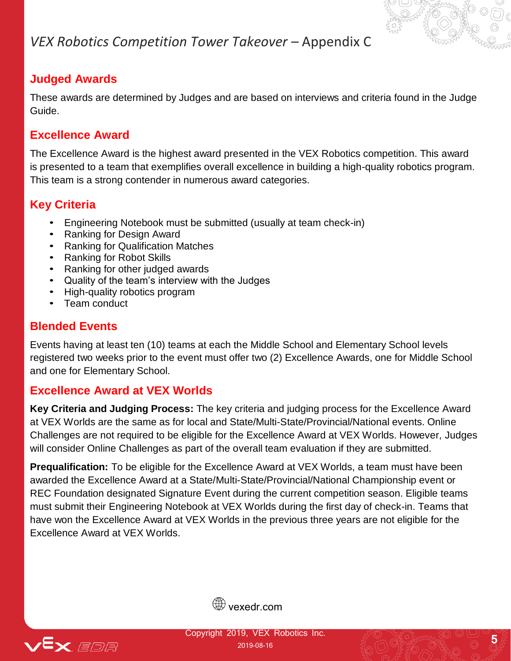#### **Judged Awards**

These awards are determined by Judges and are based on interviews and criteria found in the Judge Guide.

#### **Excellence Award**

The Excellence Award is the highest award presented in the VEX Robotics competition. This award is presented to a team that exemplifies overall excellence in building a high-quality robotics program. This team is a strong contender in numerous award categories.

#### **Key Criteria**

- Engineering Notebook must be submitted (usually at team check-in)
- Ranking for Design Award
- Ranking for Qualification Matches
- Ranking for Robot Skills
- Ranking for other judged awards
- Quality of the team's interview with the Judges
- High-quality robotics program
- Team conduct

#### **Blended Events**

Events having at least ten (10) teams at each the Middle School and Elementary School levels registered two weeks prior to the event must offer two (2) Excellence Awards, one for Middle School and one for Elementary School.

#### **Excellence Award at VEX Worlds**

**Key Criteria and Judging Process:** The key criteria and judging process for the Excellence Award at VEX Worlds are the same as for local and State/Multi-State/Provincial/National events. Online Challenges are not required to be eligible for the Excellence Award at VEX Worlds. However, Judges will consider Online Challenges as part of the overall team evaluation if they are submitted.

**Prequalification:** To be eligible for the Excellence Award at VEX Worlds, a team must have been awarded the Excellence Award at a State/Multi-State/Provincial/National Championship event or REC Foundation designated Signature Event during the current competition season. Eligible teams must submit their Engineering Notebook at VEX Worlds during the first day of check-in. Teams that have won the Excellence Award at VEX Worlds in the previous three years are not eligible for the Excellence Award at VEX Worlds.



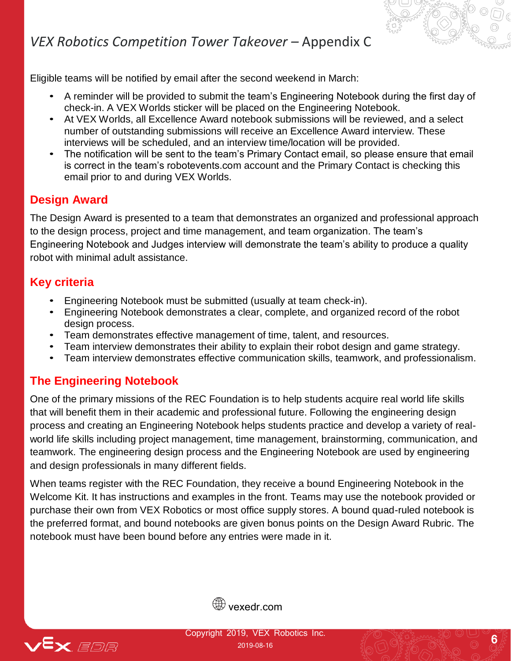Eligible teams will be notified by email after the second weekend in March:

- A reminder will be provided to submit the team's Engineering Notebook during the first day of check-in. A VEX Worlds sticker will be placed on the Engineering Notebook.
- At VEX Worlds, all Excellence Award notebook submissions will be reviewed, and a select number of outstanding submissions will receive an Excellence Award interview. These interviews will be scheduled, and an interview time/location will be provided.
- The notification will be sent to the team's Primary Contact email, so please ensure that email is correct in the team's robotevents.com account and the Primary Contact is checking this email prior to and during VEX Worlds.

#### **Design Award**

The Design Award is presented to a team that demonstrates an organized and professional approach to the design process, project and time management, and team organization. The team's Engineering Notebook and Judges interview will demonstrate the team's ability to produce a quality robot with minimal adult assistance.

#### **Key criteria**

- Engineering Notebook must be submitted (usually at team check-in).
- Engineering Notebook demonstrates a clear, complete, and organized record of the robot design process.
- Team demonstrates effective management of time, talent, and resources.
- Team interview demonstrates their ability to explain their robot design and game strategy.
- Team interview demonstrates effective communication skills, teamwork, and professionalism.

#### **The Engineering Notebook**

One of the primary missions of the REC Foundation is to help students acquire real world life skills that will benefit them in their academic and professional future. Following the engineering design process and creating an Engineering Notebook helps students practice and develop a variety of realworld life skills including project management, time management, brainstorming, communication, and teamwork. The engineering design process and the Engineering Notebook are used by engineering and design professionals in many different fields.

When teams register with the REC Foundation, they receive a bound Engineering Notebook in the Welcome Kit. It has instructions and examples in the front. Teams may use the notebook provided or purchase their own from VEX Robotics or most office supply stores. A bound quad-ruled notebook is the preferred format, and bound notebooks are given bonus points on the Design Award Rubric. The notebook must have been bound before any entries were made in it.



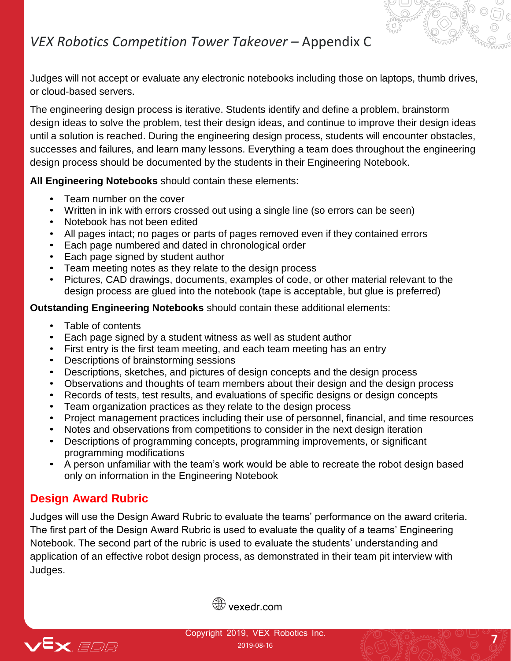Judges will not accept or evaluate any electronic notebooks including those on laptops, thumb drives, or cloud-based servers.

The engineering design process is iterative. Students identify and define a problem, brainstorm design ideas to solve the problem, test their design ideas, and continue to improve their design ideas until a solution is reached. During the engineering design process, students will encounter obstacles, successes and failures, and learn many lessons. Everything a team does throughout the engineering design process should be documented by the students in their Engineering Notebook.

**All Engineering Notebooks** should contain these elements:

- Team number on the cover
- Written in ink with errors crossed out using a single line (so errors can be seen)
- Notebook has not been edited
- All pages intact; no pages or parts of pages removed even if they contained errors
- Each page numbered and dated in chronological order
- Each page signed by student author
- Team meeting notes as they relate to the design process
- Pictures, CAD drawings, documents, examples of code, or other material relevant to the design process are glued into the notebook (tape is acceptable, but glue is preferred)

**Outstanding Engineering Notebooks** should contain these additional elements:

- Table of contents
- Each page signed by a student witness as well as student author
- First entry is the first team meeting, and each team meeting has an entry
- Descriptions of brainstorming sessions
- Descriptions, sketches, and pictures of design concepts and the design process
- Observations and thoughts of team members about their design and the design process
- Records of tests, test results, and evaluations of specific designs or design concepts
- Team organization practices as they relate to the design process
- Project management practices including their use of personnel, financial, and time resources
- Notes and observations from competitions to consider in the next design iteration
- Descriptions of programming concepts, programming improvements, or significant programming modifications
- A person unfamiliar with the team's work would be able to recreate the robot design based only on information in the Engineering Notebook

### **Design Award Rubric**

Judges will use the Design Award Rubric to evaluate the teams' performance on the award criteria. The first part of the Design Award Rubric is used to evaluate the quality of a teams' Engineering Notebook. The second part of the rubric is used to evaluate the students' understanding and application of an effective robot design process, as demonstrated in their team pit interview with Judges.





Copyright 2019, VEX Robotics Inc. 2019-08-16 **7**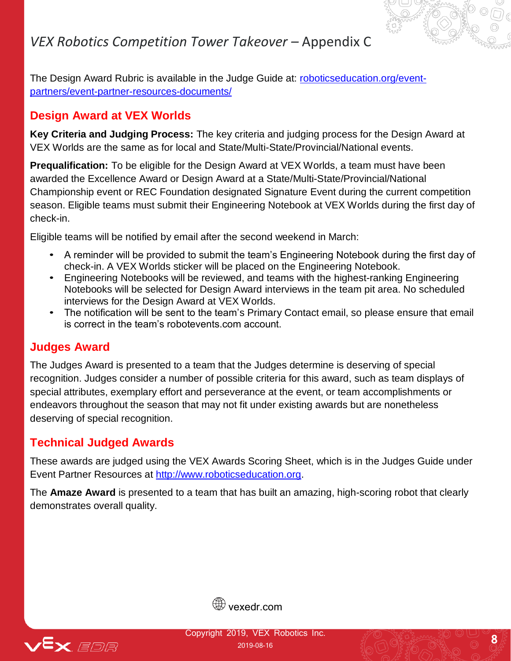The Design Award Rubric is available in the Judge Guide at: [roboticseducation.org/event](http://www.roboticseducation.org/event-partners/event-partner-resources-documents/)[partners/event-partner-resources-documents/](http://www.roboticseducation.org/event-partners/event-partner-resources-documents/)

#### **Design Award at VEX Worlds**

**Key Criteria and Judging Process:** The key criteria and judging process for the Design Award at VEX Worlds are the same as for local and State/Multi-State/Provincial/National events.

**Prequalification:** To be eligible for the Design Award at VEX Worlds, a team must have been awarded the Excellence Award or Design Award at a State/Multi-State/Provincial/National Championship event or REC Foundation designated Signature Event during the current competition season. Eligible teams must submit their Engineering Notebook at VEX Worlds during the first day of check-in.

Eligible teams will be notified by email after the second weekend in March:

- A reminder will be provided to submit the team's Engineering Notebook during the first day of check-in. A VEX Worlds sticker will be placed on the Engineering Notebook.
- Engineering Notebooks will be reviewed, and teams with the highest-ranking Engineering Notebooks will be selected for Design Award interviews in the team pit area. No scheduled interviews for the Design Award at VEX Worlds.
- The notification will be sent to the team's Primary Contact email, so please ensure that email is correct in the team's robotevents.com account.

#### **Judges Award**

The Judges Award is presented to a team that the Judges determine is deserving of special recognition. Judges consider a number of possible criteria for this award, such as team displays of special attributes, exemplary effort and perseverance at the event, or team accomplishments or endeavors throughout the season that may not fit under existing awards but are nonetheless deserving of special recognition.

#### **Technical Judged Awards**

These awards are judged using the VEX Awards Scoring Sheet, which is in the Judges Guide under Event Partner Resources at http://www.roboticseducation.org.

The **Amaze Award** is presented to a team that has built an amazing, high-scoring robot that clearly demonstrates overall quality.



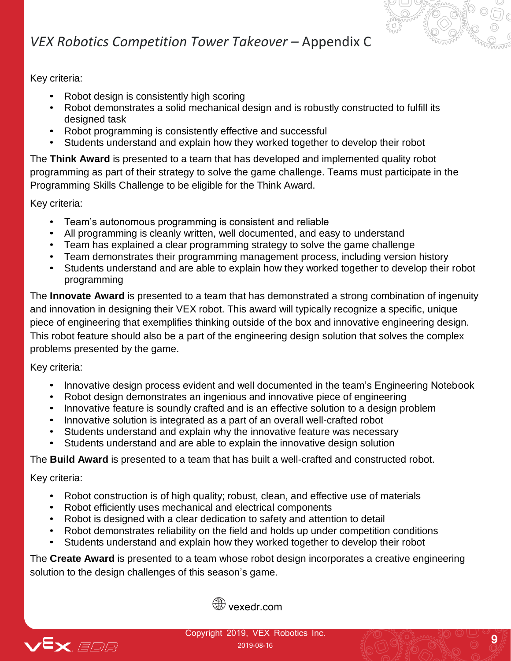Key criteria:

- Robot design is consistently high scoring
- Robot demonstrates a solid mechanical design and is robustly constructed to fulfill its designed task
- Robot programming is consistently effective and successful
- Students understand and explain how they worked together to develop their robot

The **Think Award** is presented to a team that has developed and implemented quality robot programming as part of their strategy to solve the game challenge. Teams must participate in the Programming Skills Challenge to be eligible for the Think Award.

Key criteria:

- Team's autonomous programming is consistent and reliable
- All programming is cleanly written, well documented, and easy to understand
- Team has explained a clear programming strategy to solve the game challenge
- Team demonstrates their programming management process, including version history
- Students understand and are able to explain how they worked together to develop their robot programming

The **Innovate Award** is presented to a team that has demonstrated a strong combination of ingenuity and innovation in designing their VEX robot. This award will typically recognize a specific, unique piece of engineering that exemplifies thinking outside of the box and innovative engineering design. This robot feature should also be a part of the engineering design solution that solves the complex problems presented by the game.

Key criteria:

- Innovative design process evident and well documented in the team's Engineering Notebook
- Robot design demonstrates an ingenious and innovative piece of engineering
- Innovative feature is soundly crafted and is an effective solution to a design problem
- Innovative solution is integrated as a part of an overall well-crafted robot
- Students understand and explain why the innovative feature was necessary
- Students understand and are able to explain the innovative design solution

The **Build Award** is presented to a team that has built a well-crafted and constructed robot.

Key criteria:

- Robot construction is of high quality; robust, clean, and effective use of materials
- Robot efficiently uses mechanical and electrical components
- Robot is designed with a clear dedication to safety and attention to detail
- Robot demonstrates reliability on the field and holds up under competition conditions
- Students understand and explain how they worked together to develop their robot

The **Create Award** is presented to a team whose robot design incorporates a creative engineering solution to the design challenges of this season's game.



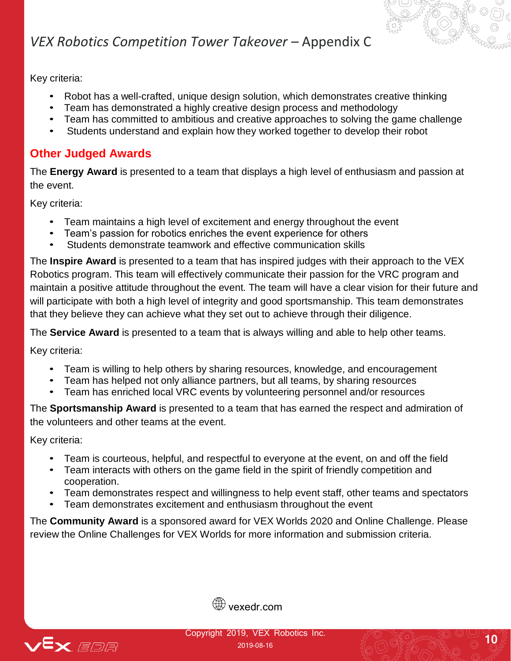Key criteria:

- Robot has a well-crafted, unique design solution, which demonstrates creative thinking
- Team has demonstrated a highly creative design process and methodology
- Team has committed to ambitious and creative approaches to solving the game challenge
- Students understand and explain how they worked together to develop their robot

#### **Other Judged Awards**

The **Energy Award** is presented to a team that displays a high level of enthusiasm and passion at the event.

Key criteria:

- Team maintains a high level of excitement and energy throughout the event
- Team's passion for robotics enriches the event experience for others
- Students demonstrate teamwork and effective communication skills

The **Inspire Award** is presented to a team that has inspired judges with their approach to the VEX Robotics program. This team will effectively communicate their passion for the VRC program and maintain a positive attitude throughout the event. The team will have a clear vision for their future and will participate with both a high level of integrity and good sportsmanship. This team demonstrates that they believe they can achieve what they set out to achieve through their diligence.

The **Service Award** is presented to a team that is always willing and able to help other teams.

Key criteria:

- Team is willing to help others by sharing resources, knowledge, and encouragement
- Team has helped not only alliance partners, but all teams, by sharing resources
- Team has enriched local VRC events by volunteering personnel and/or resources

The **Sportsmanship Award** is presented to a team that has earned the respect and admiration of the volunteers and other teams at the event.

Key criteria:

- Team is courteous, helpful, and respectful to everyone at the event, on and off the field
- Team interacts with others on the game field in the spirit of friendly competition and cooperation.
- Team demonstrates respect and willingness to help event staff, other teams and spectators
- Team demonstrates excitement and enthusiasm throughout the event

The **Community Award** is a sponsored award for VEX Worlds 2020 and Online Challenge. Please review the Online Challenges for VEX Worlds for more information and submission criteria.



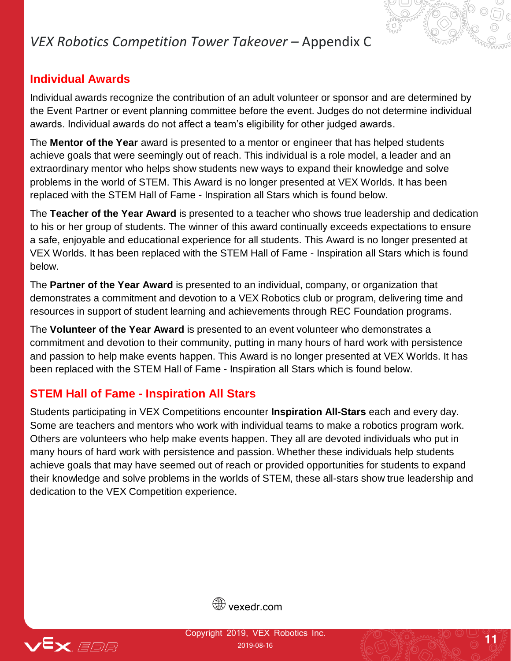#### **Individual Awards**

Individual awards recognize the contribution of an adult volunteer or sponsor and are determined by the Event Partner or event planning committee before the event. Judges do not determine individual awards. Individual awards do not affect a team's eligibility for other judged awards.

The **Mentor of the Year** award is presented to a mentor or engineer that has helped students achieve goals that were seemingly out of reach. This individual is a role model, a leader and an extraordinary mentor who helps show students new ways to expand their knowledge and solve problems in the world of STEM. This Award is no longer presented at VEX Worlds. It has been replaced with the STEM Hall of Fame - Inspiration all Stars which is found below.

The **Teacher of the Year Award** is presented to a teacher who shows true leadership and dedication to his or her group of students. The winner of this award continually exceeds expectations to ensure a safe, enjoyable and educational experience for all students. This Award is no longer presented at VEX Worlds. It has been replaced with the STEM Hall of Fame - Inspiration all Stars which is found below.

The **Partner of the Year Award** is presented to an individual, company, or organization that demonstrates a commitment and devotion to a VEX Robotics club or program, delivering time and resources in support of student learning and achievements through REC Foundation programs.

The **Volunteer of the Year Award** is presented to an event volunteer who demonstrates a commitment and devotion to their community, putting in many hours of hard work with persistence and passion to help make events happen. This Award is no longer presented at VEX Worlds. It has been replaced with the STEM Hall of Fame - Inspiration all Stars which is found below.

#### **STEM Hall of Fame - Inspiration All Stars**

Students participating in VEX Competitions encounter **Inspiration All-Stars** each and every day. Some are teachers and mentors who work with individual teams to make a robotics program work. Others are volunteers who help make events happen. They all are devoted individuals who put in many hours of hard work with persistence and passion. Whether these individuals help students achieve goals that may have seemed out of reach or provided opportunities for students to expand their knowledge and solve problems in the worlds of STEM, these all-stars show true leadership and dedication to the VEX Competition experience.